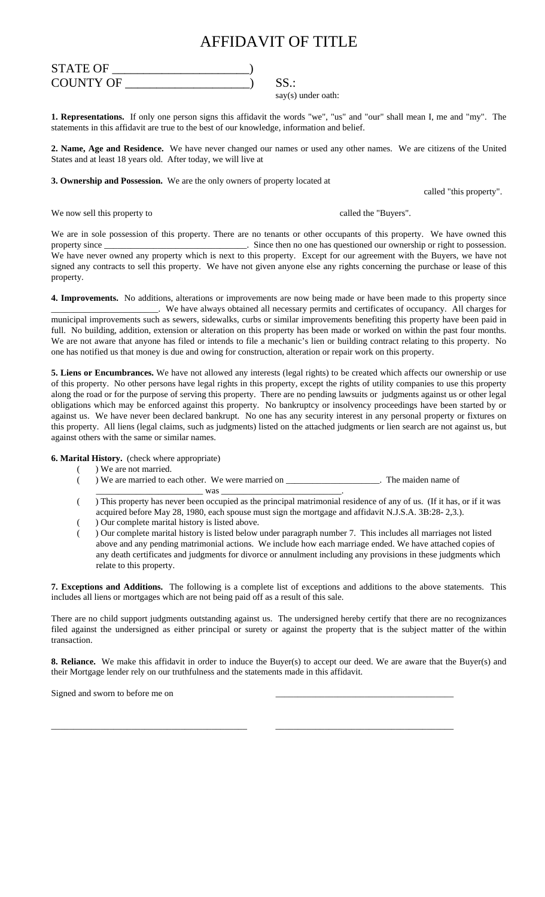## AFFIDAVIT OF TITLE

STATE OF \_\_\_\_\_\_\_\_\_\_\_\_\_\_\_\_\_\_\_\_\_\_) COUNTY OF  $SS.:$ 

say(s) under oath:

**1. Representations.** If only one person signs this affidavit the words "we", "us" and "our" shall mean I, me and "my". The statements in this affidavit are true to the best of our knowledge, information and belief.

**2. Name, Age and Residence.** We have never changed our names or used any other names. We are citizens of the United States and at least 18 years old. After today, we will live at

## **3. Ownership and Possession.** We are the only owners of property located at

called "this property".

We now sell this property to called the "Buyers".

We are in sole possession of this property. There are no tenants or other occupants of this property. We have owned this property since \_\_\_\_\_\_\_\_\_\_\_\_\_\_\_\_\_\_\_\_\_\_\_\_\_\_\_\_\_\_\_. Since then no one has questioned our ownership or right to possession. We have never owned any property which is next to this property. Except for our agreement with the Buyers, we have not signed any contracts to sell this property. We have not given anyone else any rights concerning the purchase or lease of this property.

**4. Improvements.** No additions, alterations or improvements are now being made or have been made to this property since \_\_\_\_\_\_\_\_\_\_\_\_\_\_\_\_\_\_\_\_\_\_\_\_. We have always obtained all necessary permits and certificates of occupancy. All charges for municipal improvements such as sewers, sidewalks, curbs or similar improvements benefiting this property have been paid in full. No building, addition, extension or alteration on this property has been made or worked on within the past four months. We are not aware that anyone has filed or intends to file a mechanic's lien or building contract relating to this property. No one has notified us that money is due and owing for construction, alteration or repair work on this property.

**5. Liens or Encumbrances.** We have not allowed any interests (legal rights) to be created which affects our ownership or use of this property. No other persons have legal rights in this property, except the rights of utility companies to use this property along the road or for the purpose of serving this property. There are no pending lawsuits or judgments against us or other legal obligations which may be enforced against this property. No bankruptcy or insolvency proceedings have been started by or against us. We have never been declared bankrupt. No one has any security interest in any personal property or fixtures on this property. All liens (legal claims, such as judgments) listed on the attached judgments or lien search are not against us, but against others with the same or similar names.

**6. Marital History.** (check where appropriate)

- ( ) We are not married.
- ( ) We are married to each other. We were married on \_\_\_\_\_\_\_\_\_\_\_\_\_\_\_\_\_\_\_\_\_. The maiden name of \_\_\_\_\_\_\_\_\_\_\_\_\_\_\_\_\_\_\_\_\_\_\_\_ was \_\_\_\_\_\_\_\_\_\_\_\_\_\_\_\_\_\_\_\_\_\_\_\_\_\_\_.
- ( ) This property has never been occupied as the principal matrimonial residence of any of us. (If it has, or if it was acquired before May 28, 1980, each spouse must sign the mortgage and affidavit N.J.S.A. 3B:28- 2,3.).
- ( ) Our complete marital history is listed above.
- ( ) Our complete marital history is listed below under paragraph number 7. This includes all marriages not listed above and any pending matrimonial actions. We include how each marriage ended. We have attached copies of any death certificates and judgments for divorce or annulment including any provisions in these judgments which relate to this property.

**7. Exceptions and Additions.** The following is a complete list of exceptions and additions to the above statements. This includes all liens or mortgages which are not being paid off as a result of this sale.

There are no child support judgments outstanding against us. The undersigned hereby certify that there are no recognizances filed against the undersigned as either principal or surety or against the property that is the subject matter of the within transaction.

**8. Reliance.** We make this affidavit in order to induce the Buyer(s) to accept our deed. We are aware that the Buyer(s) and their Mortgage lender rely on our truthfulness and the statements made in this affidavit.

\_\_\_\_\_\_\_\_\_\_\_\_\_\_\_\_\_\_\_\_\_\_\_\_\_\_\_\_\_\_\_\_\_\_\_\_\_\_\_\_\_\_\_\_ \_\_\_\_\_\_\_\_\_\_\_\_\_\_\_\_\_\_\_\_\_\_\_\_\_\_\_\_\_\_\_\_\_\_\_\_\_\_\_\_

Signed and sworn to before me on